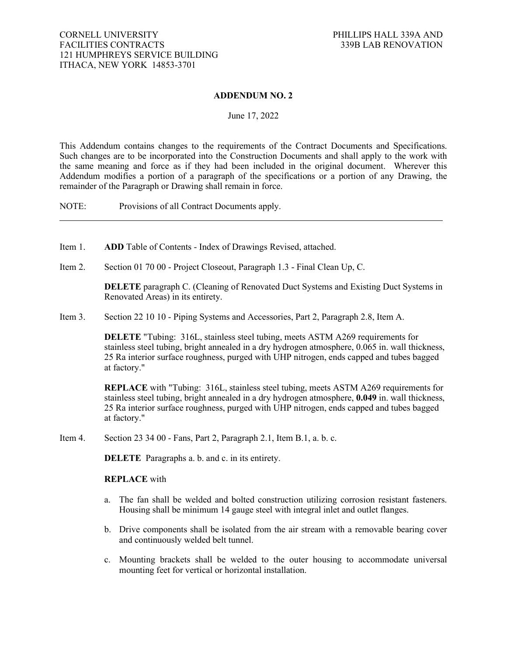## **ADDENDUM NO. 2**

#### June 17, 2022

This Addendum contains changes to the requirements of the Contract Documents and Specifications. Such changes are to be incorporated into the Construction Documents and shall apply to the work with the same meaning and force as if they had been included in the original document. Wherever this Addendum modifies a portion of a paragraph of the specifications or a portion of any Drawing, the remainder of the Paragraph or Drawing shall remain in force.

NOTE: Provisions of all Contract Documents apply.

- Item 1. **ADD** Table of Contents Index of Drawings Revised, attached.
- Item 2. Section 01 70 00 Project Closeout, Paragraph 1.3 Final Clean Up, C.

**DELETE** paragraph C. (Cleaning of Renovated Duct Systems and Existing Duct Systems in Renovated Areas) in its entirety.

Item 3. Section 22 10 10 - Piping Systems and Accessories, Part 2, Paragraph 2.8, Item A.

**DELETE** "Tubing: 316L, stainless steel tubing, meets ASTM A269 requirements for stainless steel tubing, bright annealed in a dry hydrogen atmosphere, 0.065 in. wall thickness, 25 Ra interior surface roughness, purged with UHP nitrogen, ends capped and tubes bagged at factory."

**REPLACE** with "Tubing: 316L, stainless steel tubing, meets ASTM A269 requirements for stainless steel tubing, bright annealed in a dry hydrogen atmosphere, **0.049** in. wall thickness, 25 Ra interior surface roughness, purged with UHP nitrogen, ends capped and tubes bagged at factory."

Item 4. Section 23 34 00 - Fans, Part 2, Paragraph 2.1, Item B.1, a. b. c.

**DELETE** Paragraphs a. b. and c. in its entirety.

#### **REPLACE** with

- a. The fan shall be welded and bolted construction utilizing corrosion resistant fasteners. Housing shall be minimum 14 gauge steel with integral inlet and outlet flanges.
- b. Drive components shall be isolated from the air stream with a removable bearing cover and continuously welded belt tunnel.
- c. Mounting brackets shall be welded to the outer housing to accommodate universal mounting feet for vertical or horizontal installation.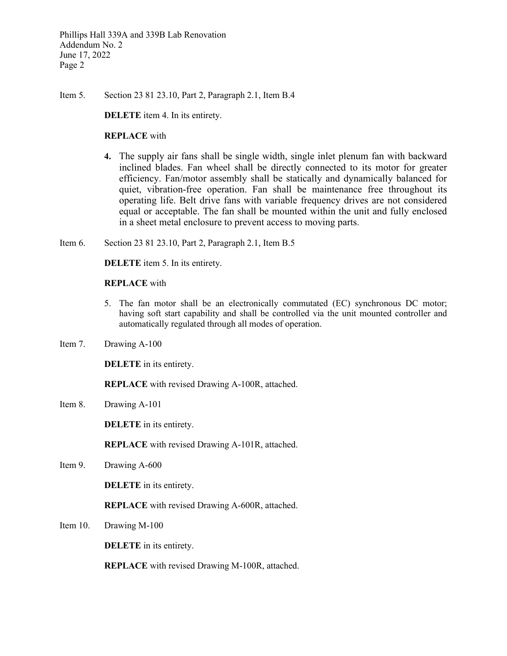Item 5. Section 23 81 23.10, Part 2, Paragraph 2.1, Item B.4

**DELETE** item 4. In its entirety.

### **REPLACE** with

- **4.** The supply air fans shall be single width, single inlet plenum fan with backward inclined blades. Fan wheel shall be directly connected to its motor for greater efficiency. Fan/motor assembly shall be statically and dynamically balanced for quiet, vibration-free operation. Fan shall be maintenance free throughout its operating life. Belt drive fans with variable frequency drives are not considered equal or acceptable. The fan shall be mounted within the unit and fully enclosed in a sheet metal enclosure to prevent access to moving parts.
- Item 6. Section 23 81 23.10, Part 2, Paragraph 2.1, Item B.5

**DELETE** item 5. In its entirety.

#### **REPLACE** with

- 5. The fan motor shall be an electronically commutated (EC) synchronous DC motor; having soft start capability and shall be controlled via the unit mounted controller and automatically regulated through all modes of operation.
- Item 7. Drawing A-100

**DELETE** in its entirety.

**REPLACE** with revised Drawing A-100R, attached.

Item 8. Drawing A-101

**DELETE** in its entirety.

**REPLACE** with revised Drawing A-101R, attached.

Item 9. Drawing A-600

**DELETE** in its entirety.

**REPLACE** with revised Drawing A-600R, attached.

Item 10. Drawing M-100

**DELETE** in its entirety.

**REPLACE** with revised Drawing M-100R, attached.